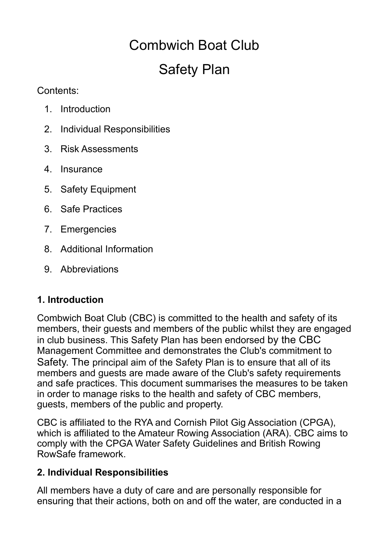# Combwich Boat Club Safety Plan

Contents:

- 1. Introduction
- 2. Individual Responsibilities
- 3. Risk Assessments
- 4. Insurance
- 5. Safety Equipment
- 6. Safe Practices
- 7. Emergencies
- 8. Additional Information
- 9. Abbreviations

# **1. Introduction**

Combwich Boat Club (CBC) is committed to the health and safety of its members, their guests and members of the public whilst they are engaged in club business. This Safety Plan has been endorsed by the CBC Management Committee and demonstrates the Club's commitment to Safety. The principal aim of the Safety Plan is to ensure that all of its members and guests are made aware of the Club's safety requirements and safe practices. This document summarises the measures to be taken in order to manage risks to the health and safety of CBC members, guests, members of the public and property.

CBC is affiliated to the RYA and Cornish Pilot Gig Association (CPGA), which is affiliated to the Amateur Rowing Association (ARA). CBC aims to comply with the CPGA Water Safety Guidelines and British Rowing RowSafe framework.

# **2. Individual Responsibilities**

All members have a duty of care and are personally responsible for ensuring that their actions, both on and off the water, are conducted in a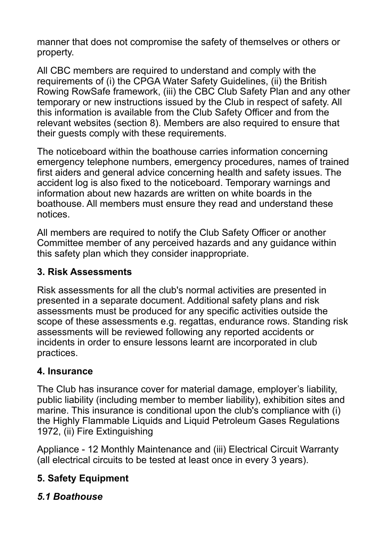manner that does not compromise the safety of themselves or others or property.

All CBC members are required to understand and comply with the requirements of (i) the CPGA Water Safety Guidelines, (ii) the British Rowing RowSafe framework, (iii) the CBC Club Safety Plan and any other temporary or new instructions issued by the Club in respect of safety. All this information is available from the Club Safety Officer and from the relevant websites (section 8). Members are also required to ensure that their guests comply with these requirements.

The noticeboard within the boathouse carries information concerning emergency telephone numbers, emergency procedures, names of trained first aiders and general advice concerning health and safety issues. The accident log is also fixed to the noticeboard. Temporary warnings and information about new hazards are written on white boards in the boathouse. All members must ensure they read and understand these notices.

All members are required to notify the Club Safety Officer or another Committee member of any perceived hazards and any guidance within this safety plan which they consider inappropriate.

#### **3. Risk Assessments**

Risk assessments for all the club's normal activities are presented in presented in a separate document. Additional safety plans and risk assessments must be produced for any specific activities outside the scope of these assessments e.g. regattas, endurance rows. Standing risk assessments will be reviewed following any reported accidents or incidents in order to ensure lessons learnt are incorporated in club practices.

#### **4. Insurance**

The Club has insurance cover for material damage, employer's liability, public liability (including member to member liability), exhibition sites and marine. This insurance is conditional upon the club's compliance with (i) the Highly Flammable Liquids and Liquid Petroleum Gases Regulations 1972, (ii) Fire Extinguishing

Appliance - 12 Monthly Maintenance and (iii) Electrical Circuit Warranty (all electrical circuits to be tested at least once in every 3 years).

# **5. Safety Equipment**

#### *5.1 Boathouse*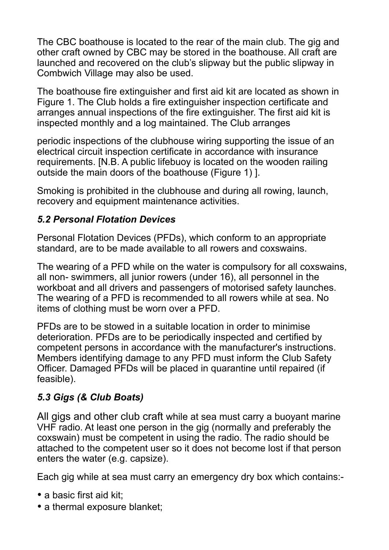The CBC boathouse is located to the rear of the main club. The gig and other craft owned by CBC may be stored in the boathouse. All craft are launched and recovered on the club's slipway but the public slipway in Combwich Village may also be used.

The boathouse fire extinguisher and first aid kit are located as shown in Figure 1. The Club holds a fire extinguisher inspection certificate and arranges annual inspections of the fire extinguisher. The first aid kit is inspected monthly and a log maintained. The Club arranges

periodic inspections of the clubhouse wiring supporting the issue of an electrical circuit inspection certificate in accordance with insurance requirements. [N.B. A public lifebuoy is located on the wooden railing outside the main doors of the boathouse (Figure 1) ].

Smoking is prohibited in the clubhouse and during all rowing, launch, recovery and equipment maintenance activities.

#### *5.2 Personal Flotation Devices*

Personal Flotation Devices (PFDs), which conform to an appropriate standard, are to be made available to all rowers and coxswains.

The wearing of a PFD while on the water is compulsory for all coxswains, all non- swimmers, all junior rowers (under 16), all personnel in the workboat and all drivers and passengers of motorised safety launches. The wearing of a PFD is recommended to all rowers while at sea. No items of clothing must be worn over a PFD.

PFDs are to be stowed in a suitable location in order to minimise deterioration. PFDs are to be periodically inspected and certified by competent persons in accordance with the manufacturer's instructions. Members identifying damage to any PFD must inform the Club Safety Officer. Damaged PFDs will be placed in quarantine until repaired (if feasible).

#### *5.3 Gigs (& Club Boats)*

All gigs and other club craft while at sea must carry a buoyant marine VHF radio. At least one person in the gig (normally and preferably the coxswain) must be competent in using the radio. The radio should be attached to the competent user so it does not become lost if that person enters the water (e.g. capsize).

Each gig while at sea must carry an emergency dry box which contains:-

- a basic first aid kit;
- a thermal exposure blanket: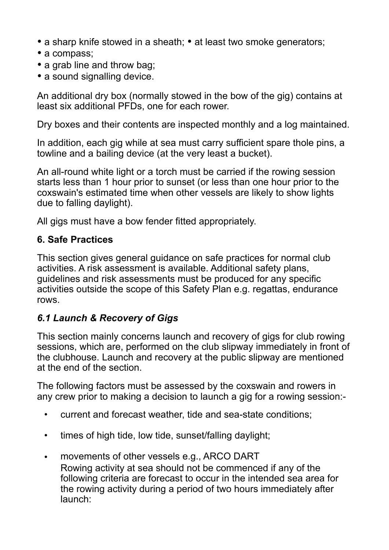- a sharp knife stowed in a sheath; at least two smoke generators;
- a compass:
- a grab line and throw bag;
- a sound signalling device.

An additional dry box (normally stowed in the bow of the gig) contains at least six additional PFDs, one for each rower.

Dry boxes and their contents are inspected monthly and a log maintained.

In addition, each gig while at sea must carry sufficient spare thole pins, a towline and a bailing device (at the very least a bucket).

An all-round white light or a torch must be carried if the rowing session starts less than 1 hour prior to sunset (or less than one hour prior to the coxswain's estimated time when other vessels are likely to show lights due to falling daylight).

All gigs must have a bow fender fitted appropriately.

#### **6. Safe Practices**

This section gives general guidance on safe practices for normal club activities. A risk assessment is available. Additional safety plans, guidelines and risk assessments must be produced for any specific activities outside the scope of this Safety Plan e.g. regattas, endurance rows.

# *6.1 Launch & Recovery of Gigs*

This section mainly concerns launch and recovery of gigs for club rowing sessions, which are, performed on the club slipway immediately in front of the clubhouse. Launch and recovery at the public slipway are mentioned at the end of the section.

The following factors must be assessed by the coxswain and rowers in any crew prior to making a decision to launch a gig for a rowing session:-

- current and forecast weather, tide and sea-state conditions;
- times of high tide, low tide, sunset/falling daylight;
- movements of other vessels e.g., ARCO DART Rowing activity at sea should not be commenced if any of the following criteria are forecast to occur in the intended sea area for the rowing activity during a period of two hours immediately after launch: